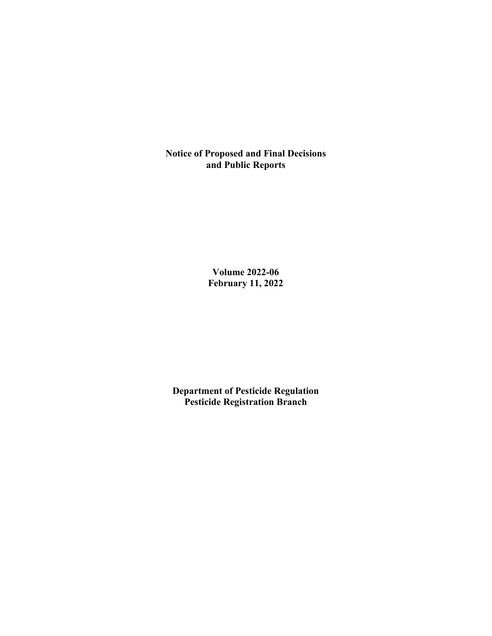**Notice of Proposed and Final Decisions and Public Reports**

> **Volume 2022-06 February 11, 2022**

**Department of Pesticide Regulation Pesticide Registration Branch**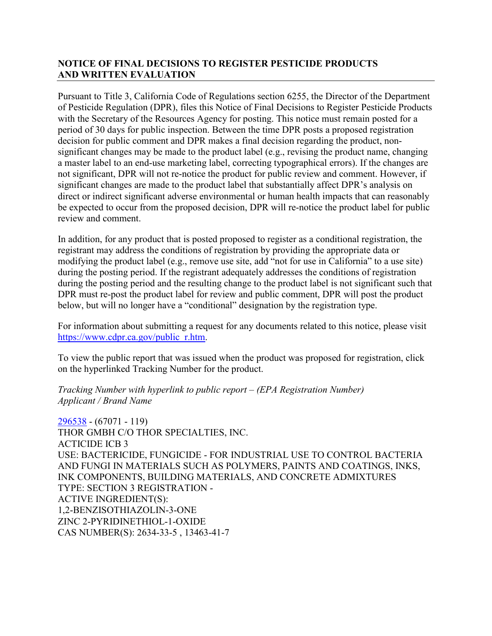# **NOTICE OF FINAL DECISIONS TO REGISTER PESTICIDE PRODUCTS AND WRITTEN EVALUATION**

Pursuant to Title 3, California Code of Regulations section 6255, the Director of the Department of Pesticide Regulation (DPR), files this Notice of Final Decisions to Register Pesticide Products with the Secretary of the Resources Agency for posting. This notice must remain posted for a period of 30 days for public inspection. Between the time DPR posts a proposed registration decision for public comment and DPR makes a final decision regarding the product, nonsignificant changes may be made to the product label (e.g., revising the product name, changing a master label to an end-use marketing label, correcting typographical errors). If the changes are not significant, DPR will not re-notice the product for public review and comment. However, if significant changes are made to the product label that substantially affect DPR's analysis on direct or indirect significant adverse environmental or human health impacts that can reasonably be expected to occur from the proposed decision, DPR will re-notice the product label for public review and comment.

In addition, for any product that is posted proposed to register as a conditional registration, the registrant may address the conditions of registration by providing the appropriate data or modifying the product label (e.g., remove use site, add "not for use in California" to a use site) during the posting period. If the registrant adequately addresses the conditions of registration during the posting period and the resulting change to the product label is not significant such that DPR must re-post the product label for review and public comment, DPR will post the product below, but will no longer have a "conditional" designation by the registration type.

For information about submitting a request for any documents related to this notice, please visit [https://www.cdpr.ca.gov/public\\_r.htm.](https://www.cdpr.ca.gov/public_r.htm)

To view the public report that was issued when the product was proposed for registration, click on the hyperlinked Tracking Number for the product.

## *Tracking Number with hyperlink to public report – (EPA Registration Number) Applicant / Brand Name*

[296538](https://www.cdpr.ca.gov/docs/registration/nod/public_reports/296538.pdf) - (67071 - 119) THOR GMBH C/O THOR SPECIALTIES, INC. ACTICIDE ICB 3 USE: BACTERICIDE, FUNGICIDE - FOR INDUSTRIAL USE TO CONTROL BACTERIA AND FUNGI IN MATERIALS SUCH AS POLYMERS, PAINTS AND COATINGS, INKS, INK COMPONENTS, BUILDING MATERIALS, AND CONCRETE ADMIXTURES TYPE: SECTION 3 REGISTRATION - ACTIVE INGREDIENT(S): 1,2-BENZISOTHIAZOLIN-3-ONE ZINC 2-PYRIDINETHIOL-1-OXIDE CAS NUMBER(S): 2634-33-5 , 13463-41-7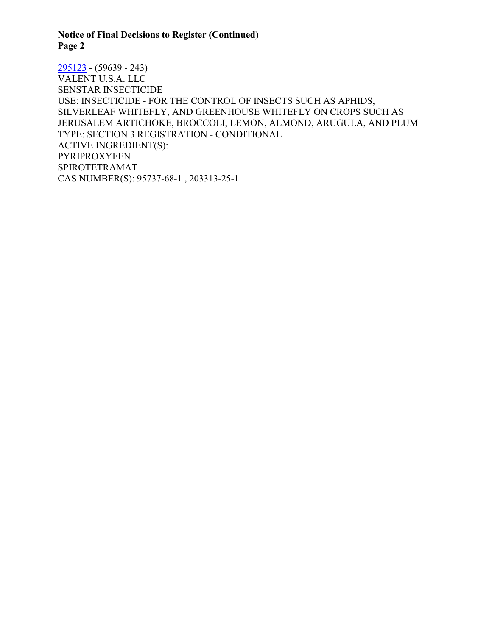**Notice of Final Decisions to Register (Continued) Page 2**

[295123](https://www.cdpr.ca.gov/docs/registration/nod/public_reports/295123.pdf) - (59639 - 243) VALENT U.S.A. LLC SENSTAR INSECTICIDE USE: INSECTICIDE - FOR THE CONTROL OF INSECTS SUCH AS APHIDS, SILVERLEAF WHITEFLY, AND GREENHOUSE WHITEFLY ON CROPS SUCH AS JERUSALEM ARTICHOKE, BROCCOLI, LEMON, ALMOND, ARUGULA, AND PLUM TYPE: SECTION 3 REGISTRATION - CONDITIONAL ACTIVE INGREDIENT(S): PYRIPROXYFEN SPIROTETRAMAT CAS NUMBER(S): 95737-68-1 , 203313-25-1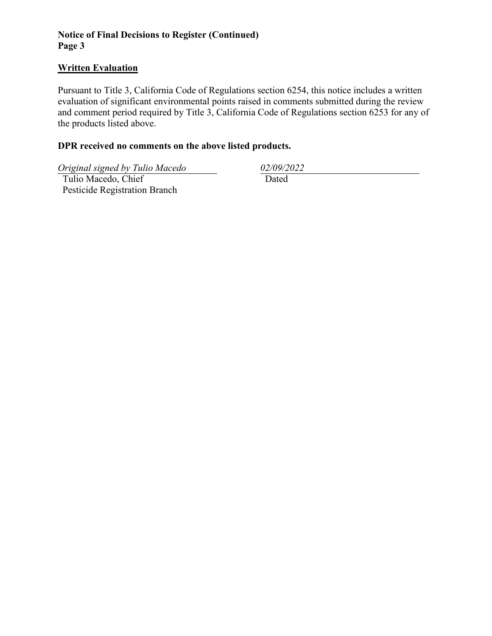# **Notice of Final Decisions to Register (Continued) Page 3**

### **Written Evaluation**

Pursuant to Title 3, California Code of Regulations section 6254, this notice includes a written evaluation of significant environmental points raised in comments submitted during the review and comment period required by Title 3, California Code of Regulations section 6253 for any of the products listed above.

## **DPR received no comments on the above listed products.**

*Original signed by Tulio Macedo 02/09/2022*

 Tulio Macedo, Chief Pesticide Registration Branch

Dated